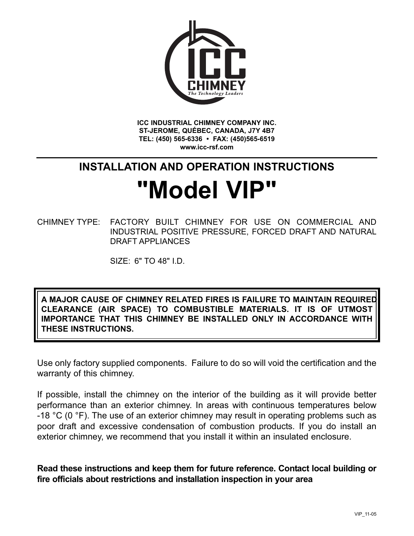

**ICC INDUSTRIAL CHIMNEY COMPANY INC. ST-JEROME, QUÉBEC, CANADA, J7Y 4B7 TEL: (450) 565-6336 • FAX: (450)565-6519 www.icc-rsf.com**

# **INSTALLATION AND OPERATION INSTRUCTIONS**

# **"Model VIP"**

CHIMNEY TYPE: FACTORY BUILT CHIMNEY FOR USE ON COMMERCIAL AND INDUSTRIAL POSITIVE PRESSURE, FORCED DRAFT AND NATURAL DRAFT APPLIANCES

SIZE: 6" TO 48" I.D.

**A MAJOR CAUSE OF CHIMNEY RELATED FIRES IS FAILURE TO MAINTAIN REQUIRED CLEARANCE (AIR SPACE) TO COMBUSTIBLE MATERIALS. IT IS OF UTMOST IMPORTANCE THAT THIS CHIMNEY BE INSTALLED ONLY IN ACCORDANCE WITH THESE INSTRUCTIONS.**

Use only factory supplied components. Failure to do so will void the certification and the warranty of this chimney.

If possible, install the chimney on the interior of the building as it will provide better performance than an exterior chimney. In areas with continuous temperatures below -18  $^{\circ}$ C (0  $^{\circ}$ F). The use of an exterior chimney may result in operating problems such as poor draft and excessive condensation of combustion products. If you do install an exterior chimney, we recommend that you install it within an insulated enclosure.

**Read these instructions and keep them for future reference. Contact local building or fire officials about restrictions and installation inspection in your area**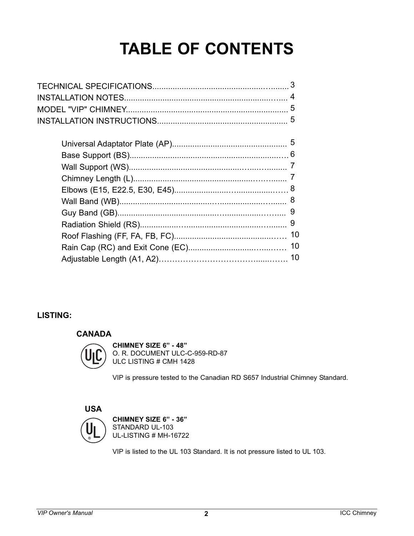# **TABLE OF CONTENTS**

| 8  |
|----|
| 9  |
|    |
| 10 |
| 10 |
|    |
|    |

#### **LISTING:**

#### **CANADA**



**CHIMNEY SIZE 6" - 48"** O. R. DOCUMENT ULC-C-959-RD-87 ULC LISTING # CMH 1428

VIP is pressure tested to the Canadian RD S657 Industrial Chimney Standard.

**USA**



**CHIMNEY SIZE 6" - 36"** STANDARD UL-103 UL-LISTING # MH-16722

VIP is listed to the UL 103 Standard. It is not pressure listed to UL 103.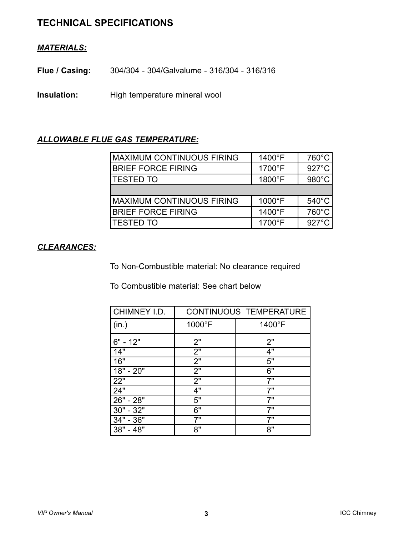# **TECHNICAL SPECIFICATIONS**

#### *MATERIALS:*

**Flue / Casing:** 304/304 - 304/Galvalume - 316/304 - 316/316

**Insulation:** High temperature mineral wool

#### *ALLOWABLE FLUE GAS TEMPERATURE:*

| <b>MAXIMUM CONTINUOUS FIRING</b> | 1400°F          | $760^{\circ}$ C |
|----------------------------------|-----------------|-----------------|
| <b>BRIEF FORCE FIRING</b>        | 1700°F          | $927^{\circ}$ C |
| <b>TESTED TO</b>                 | 1800°F          | 980°C           |
|                                  |                 |                 |
| <b>MAXIMUM CONTINUOUS FIRING</b> | $1000^{\circ}F$ | $540^{\circ}$ C |
| <b>BRIEF FORCE FIRING</b>        | 1400°F          | 760°C           |
| <b>TESTED TO</b>                 | 1700°F          | $927^{\circ}$ C |

#### *CLEARANCES:*

To Non-Combustible material: No clearance required

To Combustible material: See chart below

| CHIMNEY I.D.        | <b>CONTINUOUS TEMPERATURE</b> |        |  |  |  |  |
|---------------------|-------------------------------|--------|--|--|--|--|
| (in.)               | 1000°F                        | 1400°F |  |  |  |  |
| $6" - 12"$          | 2"                            | 2"     |  |  |  |  |
| 14"                 | $\overline{2}$ "              | 4"     |  |  |  |  |
| 16"                 | 2"                            | 5"     |  |  |  |  |
| 18" - 20"           | 2"                            | 6"     |  |  |  |  |
| $22^{\overline{0}}$ | $\overline{2}$ "              | 7"     |  |  |  |  |
| 24"                 | 4"                            | 7"     |  |  |  |  |
| $26" - 28"$         | 5"                            | 7"     |  |  |  |  |
| 30" - 32"           | 6"                            | 7"     |  |  |  |  |
| 34" - 36"           | 7"                            | 7"     |  |  |  |  |
| 38" - 48"           | 8"                            | 8"     |  |  |  |  |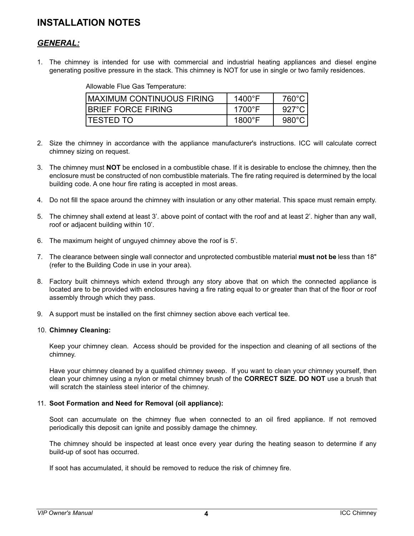# **INSTALLATION NOTES**

#### *GENERAL:*

1. The chimney is intended for use with commercial and industrial heating appliances and diesel engine generating positive pressure in the stack. This chimney is NOT for use in single or two family residences.

Allowable Flue Gas Temperature:

| <b>IMAXIMUM CONTINUOUS FIRING</b> | $1400^{\circ}$ F | 760°C.          |
|-----------------------------------|------------------|-----------------|
| <b>IBRIEF FORCE FIRING</b>        | 1700°F           | 927°C.          |
| <b>ITESTED TO</b>                 | $1800^{\circ}$ F | $980^{\circ}$ C |

- 2. Size the chimney in accordance with the appliance manufacturer's instructions. ICC will calculate correct chimney sizing on request.
- 3. The chimney must **NOT** be enclosed in a combustible chase. If it is desirable to enclose the chimney, then the enclosure must be constructed of non combustible materials. The fire rating required is determined by the local building code. A one hour fire rating is accepted in most areas.
- 4. Do not fill the space around the chimney with insulation or any other material. This space must remain empty.
- 5. The chimney shall extend at least 3'. above point of contact with the roof and at least 2'. higher than any wall, roof or adjacent building within 10'.
- 6. The maximum height of unguyed chimney above the roof is 5'.
- 7. The clearance between single wall connector and unprotected combustible material **must not be** less than 18" (refer to the Building Code in use in your area).
- 8. Factory built chimneys which extend through any story above that on which the connected appliance is located are to be provided with enclosures having a fire rating equal to or greater than that of the floor or roof assembly through which they pass.
- 9. A support must be installed on the first chimney section above each vertical tee.

#### 10. **Chimney Cleaning:**

Keep your chimney clean. Access should be provided for the inspection and cleaning of all sections of the chimney.

Have your chimney cleaned by a qualified chimney sweep. If you want to clean your chimney yourself, then clean your chimney using a nylon or metal chimney brush of the **CORRECT SIZE. DO NOT** use a brush that will scratch the stainless steel interior of the chimney.

#### 11. **Soot Formation and Need for Removal (oil appliance):**

Soot can accumulate on the chimney flue when connected to an oil fired appliance. If not removed periodically this deposit can ignite and possibly damage the chimney.

The chimney should be inspected at least once every year during the heating season to determine if any build-up of soot has occurred.

If soot has accumulated, it should be removed to reduce the risk of chimney fire.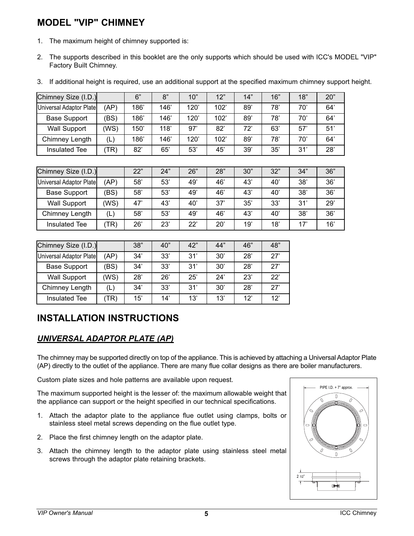# **MODEL "VIP" CHIMNEY**

- 1. The maximum height of chimney supported is:
- 2. The supports described in this booklet are the only supports which should be used with ICC's MODEL "VIP" Factory Built Chimney.
- 3. If additional height is required, use an additional support at the specified maximum chimney support height.

| Chimney Size (I.D.)     |      | 6"   | 8"   | 10"  | 12"  | 14" | 16" | 18" | 20" |
|-------------------------|------|------|------|------|------|-----|-----|-----|-----|
| Universal Adaptor Plate | (AP) | 186' | 146' | 120' | 102' | 89' | 78' | 70' | 64' |
| <b>Base Support</b>     | (BS) | 186' | 146' | 120' | 102' | 89' | 78' | 70' | 64' |
| <b>Wall Support</b>     | (WS) | 150' | 118' | 97'  | 82'  | 72' | 63' | 57' | 51' |
| Chimney Length          | (L)  | 186' | 146' | 120' | 102' | 89' | 78' | 70' | 64' |
| <b>Insulated Tee</b>    | (TR) | 82'  | 65'  | 53'  | 45'  | 39' | 35' | 31' | 28' |
|                         |      |      |      |      |      |     |     |     |     |
| Chimney Size (I.D.)     |      | 22"  | 24"  | 26"  | 28"  | 30" | 32" | 34" | 36" |
| Universal Adaptor Plate | (AP) | 58'  | 53'  | 49'  | 46'  | 43' | 40' | 38' | 36' |
| <b>Base Support</b>     | (BS) | 58'  | 53'  | 49'  | 46'  | 43' | 40' | 38' | 36' |
| <b>Wall Support</b>     | (WS) | 47'  | 43'  | 40'  | 37'  | 35' | 33' | 31' | 29' |
| Chimney Length          | (L)  | 58'  | 53'  | 49'  | 46'  | 43' | 40' | 38' | 36' |
| Insulated Tee           | (TR) | 26'  | 23'  | 22'  | 20'  | 19' | 18' | 17' | 16' |

| Chimney Size (I.D.)     |      | 38" | 40" | 42" | 44" | 46" | 48" |
|-------------------------|------|-----|-----|-----|-----|-----|-----|
| Universal Adaptor Plate | (AP) | 34' | 33' | 31' | 30' | 28' | 27  |
| <b>Base Support</b>     | 'BS) | 34' | 33' | 31' | 30' | 28' | 27  |
| <b>Wall Support</b>     | (WS) | 28' | 26' | 25' | 24' | 23' | 22' |
| Chimney Length          | (L)  | 34' | 33' | 31' | 30' | 28' | 27' |
| Insulated Tee           | TR)  | 15' | 14' | 13' | 13' | 12' | 12' |

# **INSTALLATION INSTRUCTIONS**

#### *UNIVERSAL ADAPTOR PLATE (AP)*

The chimney may be supported directly on top of the appliance. This is achieved by attaching a Universal Adaptor Plate (AP) directly to the outlet of the appliance. There are many flue collar designs as there are boiler manufacturers.

Custom plate sizes and hole patterns are available upon request.

The maximum supported height is the lesser of: the maximum allowable weight that the appliance can support or the height specified in our technical specifications.

- 1. Attach the adaptor plate to the appliance flue outlet using clamps, bolts or stainless steel metal screws depending on the flue outlet type.
- 2. Place the first chimney length on the adaptor plate.
- 3. Attach the chimney length to the adaptor plate using stainless steel metal screws through the adaptor plate retaining brackets.

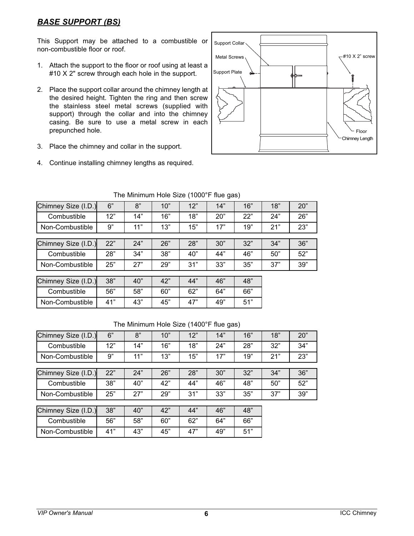#### *BASE SUPPORT (BS)*

This Support may be attached to a combustible or non-combustible floor or roof.

- 1. Attach the support to the floor or roof using at least a #10 X 2" screw through each hole in the support.
- 2. Place the support collar around the chimney length at the desired height. Tighten the ring and then screw the stainless steel metal screws (supplied with support) through the collar and into the chimney casing. Be sure to use a metal screw in each prepunched hole.
- 3. Place the chimney and collar in the support.
- 4. Continue installing chimney lengths as required.



| Chimney Size (I.D.) | 6"  | 8"  | 10" | 12" | 14" | 16" | 18" | 20" |
|---------------------|-----|-----|-----|-----|-----|-----|-----|-----|
| Combustible         | 12" | 14" | 16" | 18" | 20" | 22" | 24" | 26" |
| Non-Combustible     | 9"  | 11" | 13" | 15" | 17" | 19" | 21" | 23" |
|                     |     |     |     |     |     |     |     |     |
| Chimney Size (I.D.) | 22" | 24" | 26" | 28" | 30" | 32" | 34" | 36" |
| Combustible         | 28" | 34" | 38" | 40" | 44" | 46" | 50" | 52" |
| Non-Combustible     | 25" | 27" | 29" | 31" | 33" | 35" | 37" | 39" |
|                     |     |     |     |     |     |     |     |     |
| Chimney Size (I.D.) | 38" | 40" | 42" | 44" | 46" | 48" |     |     |
| Combustible         | 56" | 58" | 60" | 62" | 64" | 66" |     |     |
| Non-Combustible     | 41" | 43" | 45" | 47" | 49" | 51" |     |     |

#### The Minimum Hole Size (1000°F flue gas)

| Chimney Size (I.D.) | 6"  | 8"  | 10" | 12" | 14" | 16" | 18" | 20" |
|---------------------|-----|-----|-----|-----|-----|-----|-----|-----|
| Combustible         | 12" | 14" | 16" | 18" | 24" | 28" | 32" | 34" |
| Non-Combustible     | 9"  | 11" | 13" | 15" | 17" | 19" | 21" | 23" |
|                     |     |     |     |     |     |     |     |     |
| Chimney Size (I.D.) | 22" | 24" | 26" | 28" | 30" | 32" | 34" | 36" |
| Combustible         | 38" | 40" | 42" | 44" | 46" | 48" | 50" | 52" |
| Non-Combustible     | 25" | 27" | 29" | 31" | 33" | 35" | 37" | 39" |
|                     |     |     |     |     |     |     |     |     |
| Chimney Size (I.D.) | 38" | 40" | 42" | 44" | 46" | 48" |     |     |
| Combustible         | 56" | 58" | 60" | 62" | 64" | 66" |     |     |
| Non-Combustible     | 41" | 43" | 45" | 47" | 49" | 51" |     |     |
|                     |     |     |     |     |     |     |     |     |

#### The Minimum Hole Size (1400°F flue gas)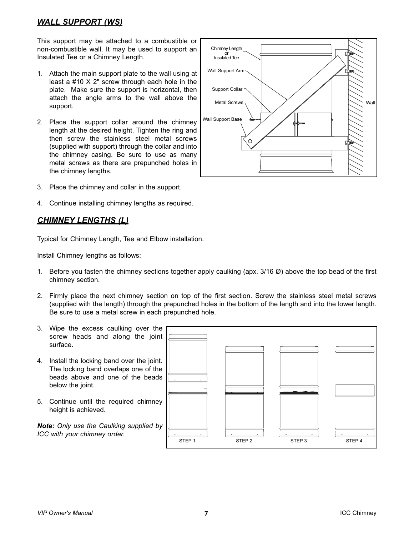#### *WALL SUPPORT (WS)*

This support may be attached to a combustible or non-combustible wall. It may be used to support an Insulated Tee or a Chimney Length.

- 1. Attach the main support plate to the wall using at least a #10 X 2" screw through each hole in the plate. Make sure the support is horizontal, then attach the angle arms to the wall above the support.
- 2. Place the support collar around the chimney length at the desired height. Tighten the ring and then screw the stainless steel metal screws (supplied with support) through the collar and into the chimney casing. Be sure to use as many metal screws as there are prepunched holes in the chimney lengths.
- 3. Place the chimney and collar in the support.
- 4. Continue installing chimney lengths as required.

#### *CHIMNEY LENGTHS (L)*

Typical for Chimney Length, Tee and Elbow installation.

Install Chimney lengths as follows:

- 1. Before you fasten the chimney sections together apply caulking (apx. 3/16 Ø) above the top bead of the first chimney section.
- 2. Firmly place the next chimney section on top of the first section. Screw the stainless steel metal screws (supplied with the length) through the prepunched holes in the bottom of the length and into the lower length. Be sure to use a metal screw in each prepunched hole.
- 3. Wipe the excess caulking over the screw heads and along the joint surface.
- 4. Install the locking band over the joint. The locking band overlaps one of the beads above and one of the beads below the joint.
- 5. Continue until the required chimney height is achieved.

*Note: Only use the Caulking supplied by ICC with your chimney order.*



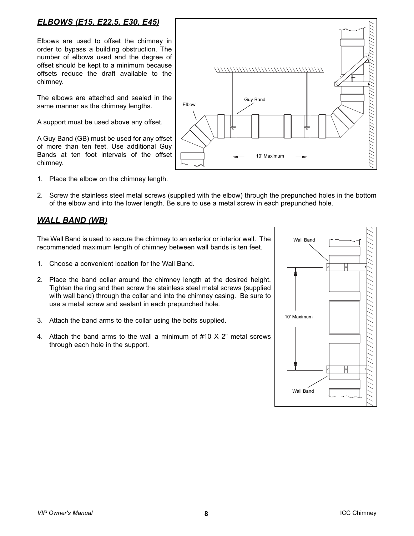#### *ELBOWS (E15, E22.5, E30, E45)*

Elbows are used to offset the chimney in order to bypass a building obstruction. The number of elbows used and the degree of offset should be kept to a minimum because offsets reduce the draft available to the chimney.

The elbows are attached and sealed in the same manner as the chimney lengths.

A support must be used above any offset.

A Guy Band (GB) must be used for any offset of more than ten feet. Use additional Guy Bands at ten foot intervals of the offset chimney.

1. Place the elbow on the chimney length.



2. Screw the stainless steel metal screws (supplied with the elbow) through the prepunched holes in the bottom of the elbow and into the lower length. Be sure to use a metal screw in each prepunched hole.

#### *WALL BAND (WB)*

The Wall Band is used to secure the chimney to an exterior or interior wall. The recommended maximum length of chimney between wall bands is ten feet.

- 1. Choose a convenient location for the Wall Band.
- 2. Place the band collar around the chimney length at the desired height. Tighten the ring and then screw the stainless steel metal screws (supplied with wall band) through the collar and into the chimney casing. Be sure to use a metal screw and sealant in each prepunched hole.
- 3. Attach the band arms to the collar using the bolts supplied.
- 4. Attach the band arms to the wall a minimum of #10 X 2" metal screws through each hole in the support.

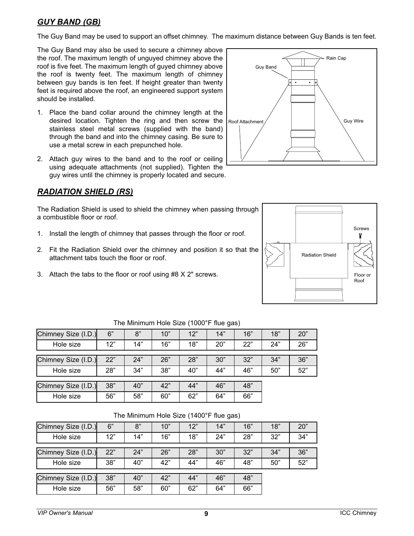#### *GUY BAND (GB)*

The Guy Band may be used to support an offset chimney. The maximum distance between Guy Bands is ten feet.

The Guy Band may also be used to secure a chimney above the roof. The maximum length of unguyed chimney above the roof is five feet. The maximum length of guyed chimney above the roof is twenty feet. The maximum length of chimney between guy bands is ten feet. If height greater than twenty feet is required above the roof, an engineered support system should be installed.

- 1. Place the band collar around the chimney length at the desired location. Tighten the ring and then screw the Roof Attachment stainless steel metal screws (supplied with the band) through the band and into the chimney casing. Be sure to use a metal screw in each prepunched hole.
- 2. Attach guy wires to the band and to the roof or ceiling using adequate attachments (not supplied). Tighten the guy wires until the chimney is properly located and secure.

#### *RADIATION SHIELD (RS)*

The Radiation Shield is used to shield the chimney when passing through a combustible floor or roof.

- 1. Install the length of chimney that passes through the floor or roof.
- 2. Fit the Radiation Shield over the chimney and position it so that the attachment tabs touch the floor or roof.
- 3. Attach the tabs to the floor or roof using #8 X 2" screws.





| Chimney Size (I.D.) | 6"  | 8"  | 10" | 12" | 14" | 16" | 18" | 20" |
|---------------------|-----|-----|-----|-----|-----|-----|-----|-----|
| Hole size           | 12" | 14" | 16" | 18" | 20" | 22" | 24" | 26" |
|                     |     |     |     |     |     |     |     |     |
| Chimney Size (I.D.) | 22" | 24" | 26" | 28" | 30" | 32" | 34" | 36" |
| Hole size           | 28" | 34" | 38" | 40" | 44" | 46" | 50" | 52" |
|                     |     |     |     |     |     |     |     |     |
| Chimney Size (I.D.) | 38" | 40" | 42" | 44" | 46" | 48" |     |     |
| Hole size           | 56" | 58" | 60" | 62" | 64" | 66" |     |     |

The Minimum Hole Size (1000°F flue gas)

| Chimney Size (I.D.) | 6"  | 8"  | 10" | 12" | 14" | 16" | 18" | 20" |  |
|---------------------|-----|-----|-----|-----|-----|-----|-----|-----|--|
| Hole size           | 12" | 14" | 16" | 18" | 24" | 28" | 32" | 34" |  |
|                     |     |     |     |     |     |     |     |     |  |
| Chimney Size (I.D.) | 22" | 24" | 26" | 28" | 30" | 32" | 34" | 36" |  |
| Hole size           | 38" | 40" | 42" | 44" | 46" | 48" | 50" | 52" |  |
|                     |     |     |     |     |     |     |     |     |  |
| Chimney Size (I.D.) | 38" | 40" | 42" | 44" | 46" | 48" |     |     |  |
| Hole size           | 56" | 58" | 60" | 62" | 64" | 66" |     |     |  |
|                     |     |     |     |     |     |     |     |     |  |

The Minimum Hole Size (1400°F flue gas)